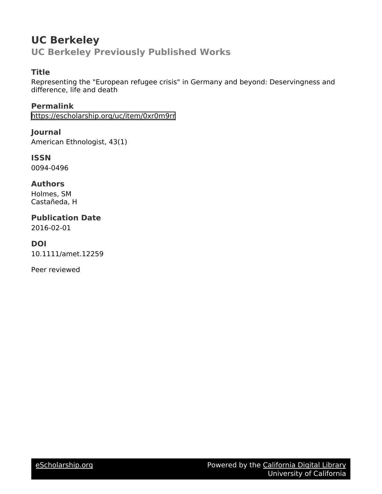# **UC Berkeley UC Berkeley Previously Published Works**

## **Title**

Representing the "European refugee crisis" in Germany and beyond: Deservingness and difference, life and death

**Permalink** <https://escholarship.org/uc/item/0xr0m9rr>

**Journal** American Ethnologist, 43(1)

**ISSN** 0094-0496

**Authors** Holmes, SM Castañeda, H

**Publication Date** 2016-02-01

**DOI** 10.1111/amet.12259

Peer reviewed

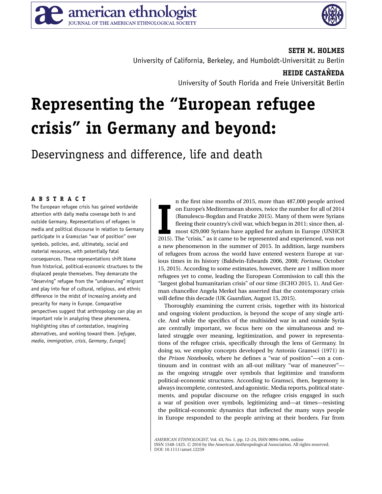

#### **SETH M. HOLMES**

University of California, Berkeley, and Humboldt-Universität zu Berlin

### **HEIDE CASTANEDA ˜**

University of South Florida and Freie Universitat Berlin ¨

# **Representing the "European refugee crisis" in Germany and beyond:**

Deservingness and difference, life and death

#### **ABSTRACT**

The European refugee crisis has gained worldwide attention with daily media coverage both in and outside Germany. Representations of refugees in media and political discourse in relation to Germany participate in a Gramscian "war of position" over symbols, policies, and, ultimately, social and material resources, with potentially fatal consequences. These representations shift blame from historical, political-economic structures to the displaced people themselves. They demarcate the "deserving" refugee from the "undeserving" migrant and play into fear of cultural, religious, and ethnic difference in the midst of increasing anxiety and precarity for many in Europe. Comparative perspectives suggest that anthropology can play an important role in analyzing these phenomena, highlighting sites of contestation, imagining alternatives, and working toward them. [*refugee*, *media*, *immigration*, *crisis*, *Germany*, *Europe*]

**I** 2015). The "crisis," as it came to be represented and experienced, was not n the first nine months of 2015, more than 487,000 people arrived on Europe's Mediterranean shores, twice the number for all of 2014 (Banulescu-Bogdan and Fratzke 2015). Many of them were Syrians fleeing their country's civil war, which began in 2011; since then, almost 429,000 Syrians have applied for asylum in Europe (UNHCR a new phenomenon in the summer of 2015. In addition, large numbers of refugees from across the world have entered western Europe at various times in its history (Baldwin-Edwards 2006, 2008; *Fortune*, October 15, 2015). According to some estimates, however, there are 1 million more refugees yet to come, leading the European Commission to call this the "largest global humanitarian crisis" of our time (ECHO 2015, 1). And German chancellor Angela Merkel has asserted that the contemporary crisis will define this decade (UK *Guardian*, August 15, 2015).

Thoroughly examining the current crisis, together with its historical and ongoing violent production, is beyond the scope of any single article. And while the specifics of the multisided war in and outside Syria are centrally important, we focus here on the simultaneous and related struggle over meaning, legitimization, and power in representations of the refugee crisis, specifically through the lens of Germany. In doing so, we employ concepts developed by Antonio Gramsci (1971) in the *Prison Notebooks*, where he defines a "war of position"—on a continuum and in contrast with an all-out military "war of maneuver" as the ongoing struggle over symbols that legitimize and transform political-economic structures. According to Gramsci, then, hegemony is always incomplete, contested, and agonistic. Media reports, political statements, and popular discourse on the refugee crisis engaged in such a war of position over symbols, legitimizing and—at times—resisting the political-economic dynamics that inflected the many ways people in Europe responded to the people arriving at their borders. Far from

*AMERICAN ETHNOLOGIST*, Vol. 43, No. 1, pp. 12–24, ISSN 0094-0496, online ISSN 1548-1425. © 2016 by the American Anthropological Association. All rights reserved. DOI: 10.1111/amet.12259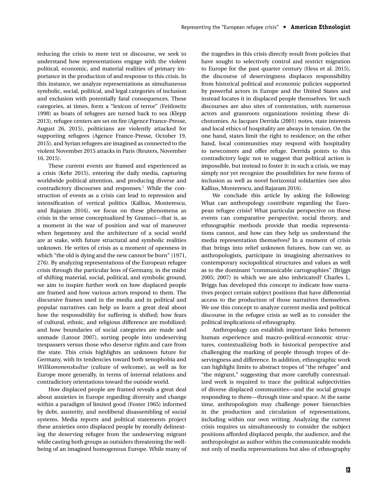reducing the crisis to mere text or discourse, we seek to understand how representations engage with the violent political, economic, and material realities of primary importance in the production of and response to this crisis. In this instance, we analyze representations as simultaneous symbolic, social, political, and legal categories of inclusion and exclusion with potentially fatal consequences. These categories, at times, form a "lexicon of terror" (Feitlowitz 1998) as boats of refugees are turned back to sea (Klepp 2013), refugee centers are set on fire (Agence France-Presse, August 26, 2015), politicians are violently attacked for supporting refugees (Agence France-Presse, October 19, 2015), and Syrian refugees are imagined as connected to the violent November 2015 attacks in Paris (Reuters, November 16, 2015).

These current events are framed and experienced as a crisis (Kehr 2015), entering the daily media, capturing worldwide political attention, and producing diverse and contradictory discourses and responses.<sup>1</sup> While the construction of events as a crisis can lead to repression and intensification of vertical politics (Kallius, Monterescu, and Rajaram 2016), we focus on these phenomena as crisis in the sense conceptualized by Gramsci—that is, as a moment in the war of position and war of maneuver when hegemony and the architecture of a social world are at stake, with future structural and symbolic realities unknown. He writes of crisis as a moment of openness in which "the old is dying and the new cannot be born" (1971, 276). By analyzing representations of the European refugee crisis through the particular lens of Germany, in the midst of shifting material, social, political, and symbolic ground, we aim to inspire further work on how displaced people are framed and how various actors respond to them. The discursive frames used in the media and in political and popular narratives can help us learn a great deal about how the responsibility for suffering is shifted; how fears of cultural, ethnic, and religious difference are mobilized; and how boundaries of social categories are made and unmade (Latour 2007), sorting people into undeserving trespassers versus those who deserve rights and care from the state. This crisis highlights an unknown future for Germany, with its tendencies toward both xenophobia and *Willkommenskultur* (culture of welcome), as well as for Europe more generally, in terms of internal relations and contradictory orientations toward the outside world.

How displaced people are framed reveals a great deal about anxieties in Europe regarding diversity and change within a paradigm of limited good (Foster 1965) informed by debt, austerity, and neoliberal disassembling of social systems. Media reports and political statements project these anxieties onto displaced people by morally delineating the deserving refugee from the undeserving migrant while casting both groups as outsiders threatening the wellbeing of an imagined homogenous Europe. While many of the tragedies in this crisis directly result from policies that have sought to selectively control and restrict migration to Europe for the past quarter century (Hess et al. 2015), the discourse of deservingness displaces responsibility from historical political and economic policies supported by powerful actors in Europe and the United States and instead locates it in displaced people themselves. Yet such discourses are also sites of contestation, with numerous actors and grassroots organizations resisting these dichotomies. As Jacques Derrida (2001) notes, state interests and local ethics of hospitality are always in tension. On the one hand, states limit the right to residence; on the other hand, local communities may respond with hospitality to newcomers and offer refuge. Derrida points to this contradictory logic not to suggest that political action is impossible, but instead to foster it: in such a crisis, we may simply not yet recognize the possibilities for new forms of inclusion as well as novel horizontal solidarities (see also Kallius, Monterescu, and Rajaram 2016).

We conclude this article by asking the following: What can anthropology contribute regarding the European refugee crisis? What particular perspective on these events can comparative perspective, social theory, and ethnographic methods provide that media representations cannot, and how can they help us understand the media representation themselves? In a moment of crisis that brings into relief unknown futures, how can we, as anthropologists, participate in imagining alternatives to contemporary sociopolitical structures and values as well as to the dominant "communicable cartographies" (Briggs 2005; 2007) in which we are also imbricated? Charles L. Briggs has developed this concept to indicate how narratives project certain subject positions that have differential access to the production of those narratives themselves. We use this concept to analyze current media and political discourse in the refugee crisis as well as to consider the political implications of ethnography.

Anthropology can establish important links between human experience and macro–political-economic structures, contextualizing both in historical perspective and challenging the marking of people through tropes of deservingness and difference. In addition, ethnographic work can highlight limits to abstract tropes of "the refugee" and "the migrant," suggesting that more carefully contextualized work is required to trace the political subjectivities of diverse displaced communities—and the social groups responding to them—through time and space. At the same time, anthropologists may challenge power hierarchies in the production and circulation of representations, including within our own writing. Analyzing the current crisis requires us simultaneously to consider the subject positions afforded displaced people, the audience, and the anthropologist as author within the communicable models not only of media representations but also of ethnography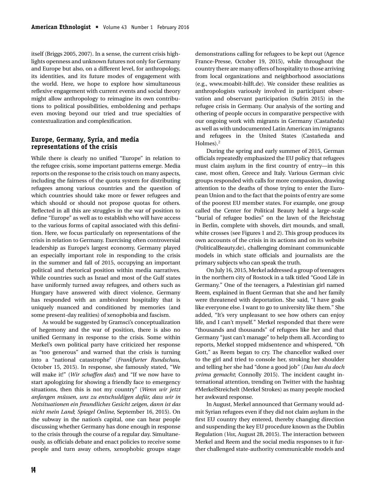itself (Briggs 2005, 2007). In a sense, the current crisis highlights openness and unknown futures not only for Germany and Europe but also, on a different level, for anthropology, its identities, and its future modes of engagement with the world. Here, we hope to explore how simultaneous reflexive engagement with current events and social theory might allow anthropology to reimagine its own contributions to political possibilities, emboldening and perhaps even moving beyond our tried and true specialties of contextualization and complexification.

#### **Europe, Germany, Syria, and media representations of the crisis**

While there is clearly no unified "Europe" in relation to the refugee crisis, some important patterns emerge. Media reports on the response to the crisis touch on many aspects, including the fairness of the quota system for distributing refugees among various countries and the question of which countries should take more or fewer refugees and which should or should not propose quotas for others. Reflected in all this are struggles in the war of position to define "Europe" as well as to establish who will have access to the various forms of capital associated with this definition. Here, we focus particularly on representations of the crisis in relation to Germany. Exercising often controversial leadership as Europe's largest economy, Germany played an especially important role in responding to the crisis in the summer and fall of 2015, occupying an important political and rhetorical position within media narratives. While countries such as Israel and most of the Gulf states have uniformly turned away refugees, and others such as Hungary have answered with direct violence, Germany has responded with an ambivalent hospitality that is uniquely nuanced and conditioned by memories (and some present-day realities) of xenophobia and fascism.

As would be suggested by Gramsci's conceptualization of hegemony and the war of position, there is also no unified Germany in response to the crisis. Some within Merkel's own political party have criticized her response as "too generous" and warned that the crisis is turning into a "national catastrophe" (*Frankfurter Rundschau*, October 15, 2015). In response, she famously stated, "We will make it!" (*Wir schaffen das!*) and "If we now have to start apologizing for showing a friendly face to emergency situations, then this is not my country" (*Wenn wir jetzt anfangen mussen, uns zu entschuldigen daf ¨ ur, dass wir in ¨ Notsituationen ein freundliches Gesicht zeigen, dann ist das nicht mein Land*; *Spiegel Online*, September 16, 2015). On the subway in the nation's capital, one can hear people discussing whether Germany has done enough in response to the crisis through the course of a regular day. Simultaneously, as officials debate and enact policies to receive some people and turn away others, xenophobic groups stage

demonstrations calling for refugees to be kept out (Agence France-Presse, October 19, 2015), while throughout the country there are many offers of hospitality to those arriving from local organizations and neighborhood associations (e.g., www.moabit-hilft.de). We consider these realities as anthropologists variously involved in participant observation and observant participation (Sufrin 2015) in the refugee crisis in Germany. Our analysis of the sorting and othering of people occurs in comparative perspective with our ongoing work with migrants in Germany (Castañeda) as well as with undocumented Latin American im/migrants and refugees in the United States (Castañeda and Holmes).2

During the spring and early summer of 2015, German officials repeatedly emphasized the EU policy that refugees must claim asylum in the first country of entry—in this case, most often, Greece and Italy. Various German civic groups responded with calls for more compassion, drawing attention to the deaths of those trying to enter the European Union and to the fact that the points of entry are some of the poorest EU member states. For example, one group called the Center for Political Beauty held a large-scale "burial of refugee bodies" on the lawn of the Reichstag in Berlin, complete with shovels, dirt mounds, and small, white crosses (see Figures 1 and 2). This group produces its own accounts of the crisis in its actions and on its website (PoliticalBeauty.de), challenging dominant communicable models in which state officials and journalists are the primary subjects who can speak the truth.

On July 16, 2015, Merkel addressed a group of teenagers in the northern city of Rostock in a talk titled "Good Life in Germany." One of the teenagers, a Palestinian girl named Reem, explained in fluent German that she and her family were threatened with deportation. She said, "I have goals like everyone else. I want to go to university like them." She added, "It's very unpleasant to see how others can enjoy life, and I can't myself." Merkel responded that there were "thousands and thousands" of refugees like her and that Germany "just can't manage" to help them all. According to reports, Merkel stopped midsentence and whispered, "Oh Gott," as Reem began to cry. The chancellor walked over to the girl and tried to console her, stroking her shoulder and telling her she had "done a good job" (*Das has du doch prima gemacht*; Connolly 2015). The incident caught international attention, trending on Twitter with the hashtag #MerkelStreichelt (Merkel Strokes) as many people mocked her awkward response.

In August, Merkel announced that Germany would admit Syrian refugees even if they did not claim asylum in the first EU country they entered, thereby changing direction and suspending the key EU procedure known as the Dublin Regulation (*Vox*, August 28, 2015). The interaction between Merkel and Reem and the social media responses to it further challenged state-authority communicable models and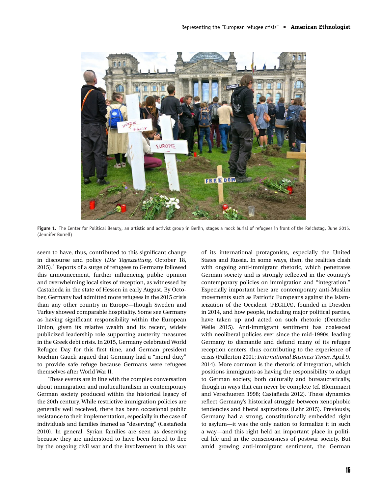

Figure 1. The Center for Political Beauty, an artistic and activist group in Berlin, stages a mock burial of refugees in front of the Reichstag, June 2015. (Jennifer Burrell)

seem to have, thus, contributed to this significant change in discourse and policy (*Die Tageszeitung*, October 18, 2015).<sup>3</sup> Reports of a surge of refugees to Germany followed this announcement, further influencing public opinion and overwhelming local sites of reception, as witnessed by Castañeda in the state of Hessen in early August. By October, Germany had admitted more refugees in the 2015 crisis than any other country in Europe—though Sweden and Turkey showed comparable hospitality. Some see Germany as having significant responsibility within the European Union, given its relative wealth and its recent, widely publicized leadership role supporting austerity measures in the Greek debt crisis. In 2015, Germany celebrated World Refugee Day for this first time, and German president Joachim Gauck argued that Germany had a "moral duty" to provide safe refuge because Germans were refugees themselves after World War II.

These events are in line with the complex conversation about immigration and multiculturalism in contemporary German society produced within the historical legacy of the 20th century. While restrictive immigration policies are generally well received, there has been occasional public resistance to their implementation, especially in the case of individuals and families framed as "deserving" (Castañeda 2010). In general, Syrian families are seen as deserving because they are understood to have been forced to flee by the ongoing civil war and the involvement in this war of its international protagonists, especially the United States and Russia. In some ways, then, the realities clash with ongoing anti-immigrant rhetoric, which penetrates German society and is strongly reflected in the country's contemporary policies on immigration and "integration." Especially important here are contemporary anti-Muslim movements such as Patriotic Europeans against the Islamicization of the Occident (PEGIDA), founded in Dresden in 2014, and how people, including major political parties, have taken up and acted on such rhetoric (Deutsche Welle 2015). Anti-immigrant sentiment has coalesced with neoliberal policies ever since the mid-1990s, leading Germany to dismantle and defund many of its refugee reception centers, thus contributing to the experience of crisis (Fullerton 2001; *International Business Times*, April 9, 2014). More common is the rhetoric of integration, which positions immigrants as having the responsibility to adapt to German society, both culturally and bureaucratically, though in ways that can never be complete (cf. Blommaert and Verschueren 1998; Castañeda 2012). These dynamics reflect Germany's historical struggle between xenophobic tendencies and liberal aspirations (Lehr 2015). Previously, Germany had a strong, constitutionally embedded right to asylum—it was the only nation to formalize it in such a way—and this right held an important place in political life and in the consciousness of postwar society. But amid growing anti-immigrant sentiment, the German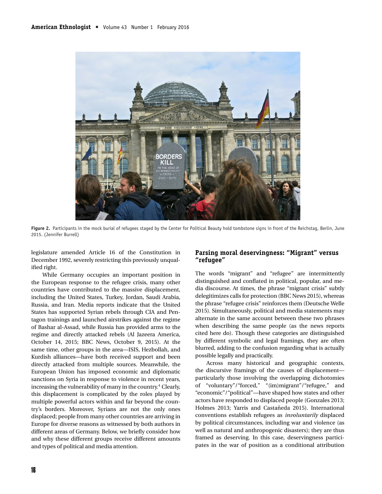

**Figure 2.** Participants in the mock burial of refugees staged by the Center for Political Beauty hold tombstone signs in front of the Reichstag, Berlin, June 2015. (Jennifer Burrell)

legislature amended Article 16 of the Constitution in December 1992, severely restricting this previously unqualified right.

While Germany occupies an important position in the European response to the refugee crisis, many other countries have contributed to the massive displacement, including the United States, Turkey, Jordan, Saudi Arabia, Russia, and Iran. Media reports indicate that the United States has supported Syrian rebels through CIA and Pentagon trainings and launched airstrikes against the regime of Bashar al-Assad, while Russia has provided arms to the regime and directly attacked rebels (Al Jazeera America, October 14, 2015; BBC News, October 9, 2015). At the same time, other groups in the area—ISIS, Hezbollah, and Kurdish alliances—have both received support and been directly attacked from multiple sources. Meanwhile, the European Union has imposed economic and diplomatic sanctions on Syria in response to violence in recent years, increasing the vulnerability of many in the country.<sup>4</sup> Clearly, this displacement is complicated by the roles played by multiple powerful actors within and far beyond the country's borders. Moreover, Syrians are not the only ones displaced; people from many other countries are arriving in Europe for diverse reasons as witnessed by both authors in different areas of Germany. Below, we briefly consider how and why these different groups receive different amounts and types of political and media attention.

#### **Parsing moral deservingness: "Migrant" versus "refugee"**

The words "migrant" and "refugee" are intermittently distinguished and conflated in political, popular, and media discourse. At times, the phrase "migrant crisis" subtly delegitimizes calls for protection (BBC News 2015), whereas the phrase "refugee crisis" reinforces them (Deutsche Welle 2015). Simultaneously, political and media statements may alternate in the same account between these two phrases when describing the same people (as the news reports cited here do). Though these categories are distinguished by different symbolic and legal framings, they are often blurred, adding to the confusion regarding what is actually possible legally and practically.

Across many historical and geographic contexts, the discursive framings of the causes of displacement particularly those involving the overlapping dichotomies of "voluntary"/"forced," "(im)migrant"/"refugee," and "economic"/"political"—have shaped how states and other actors have responded to displaced people (Gonzales 2013; Holmes 2013; Yarris and Castañeda 2015). International conventions establish refugees as *involuntarily* displaced by political circumstances, including war and violence (as well as natural and anthropogenic disasters); they are thus framed as deserving. In this case, deservingness participates in the war of position as a conditional attribution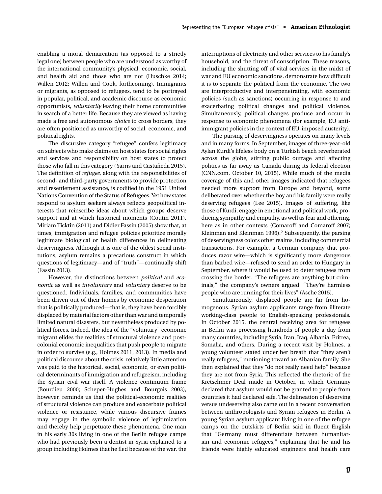enabling a moral demarcation (as opposed to a strictly legal one) between people who are understood as worthy of the international community's physical, economic, social, and health aid and those who are not (Huschke 2014; Willen 2012; Willen and Cook, forthcoming). Immigrants or migrants, as opposed to refugees, tend to be portrayed in popular, political, and academic discourse as economic opportunists, *voluntarily* leaving their home communities in search of a better life. Because they are viewed as having made a free and autonomous *choice* to cross borders, they are often positioned as unworthy of social, economic, and political rights.

The discursive category "refugee" confers legitimacy on subjects who make claims on host states for social rights and services and responsibility on host states to protect those who fall in this category (Yarris and Castañeda 2015). The definition of *refugee*, along with the responsibilities of second- and third-party governments to provide protection and resettlement assistance, is codified in the 1951 United Nations Convention of the Status of Refugees. Yet how states respond to asylum seekers always reflects geopolitical interests that reinscribe ideas about which groups deserve support and at which historical moments (Coutin 2011). Miriam Ticktin (2011) and Didier Fassin (2005) show that, at times, immigration and refugee policies prioritize morally legitimate biological or health differences in delineating deservingness. Although it is one of the oldest social institutions, asylum remains a precarious construct in which questions of legitimacy—and of "truth"—continually shift (Fassin 2013).

However, the distinctions between *political* and *economic* as well as *involuntary* and *voluntary* deserve to be questioned. Individuals, families, and communities have been driven out of their homes by economic desperation that is politically produced—that is, they have been forcibly displaced by material factors other than war and temporally limited natural disasters, but nevertheless produced by political forces. Indeed, the idea of the "voluntary" economic migrant elides the realities of structural violence and postcolonial economic inequalities that push people to migrate in order to survive (e.g., Holmes 2011, 2013). In media and political discourse about the crisis, relatively little attention was paid to the historical, social, economic, or even political determinants of immigration and refugeeism, including the Syrian civil war itself. A violence continuum frame (Bourdieu 2000; Scheper-Hughes and Bourgois 2003), however, reminds us that the political-economic realities of structural violence can produce and exacerbate political violence or resistance, while various discursive frames may engage in the symbolic violence of legitimization and thereby help perpetuate these phenomena. One man in his early 30s living in one of the Berlin refugee camps who had previously been a dentist in Syria explained to a group including Holmes that he fled because of the war, the interruptions of electricity and other services to his family's household, and the threat of conscription. These reasons, including the shutting off of vital services in the midst of war and EU economic sanctions, demonstrate how difficult it is to separate the political from the economic. The two are interproductive and interpenetrating, with economic policies (such as sanctions) occurring in response to and exacerbating political changes and political violence. Simultaneously, political changes produce and occur in response to economic phenomena (for example, EU antiimmigrant policies in the context of EU-imposed austerity).

The parsing of deservingness operates on many levels and in many forms. In September, images of three-year-old Aylan Kurdi's lifeless body on a Turkish beach reverberated across the globe, stirring public outrage and affecting politics as far away as Canada during its federal election (CNN.com, October 10, 2015). While much of the media coverage of this and other images indicated that refugees needed more support from Europe and beyond, some deliberated over whether the boy and his family were really deserving refugees (Lee 2015). Images of suffering, like those of Kurdi, engage in emotional and political work, producing sympathy and empathy, as well as fear and othering, here as in other contexts (Comaroff and Comaroff 2007; Kleinman and Kleinman 1996).<sup>5</sup> Subsequently, the parsing of deservingness colors other realms, including commercial transactions. For example, a German company that produces razor wire—which is significantly more dangerous than barbed wire—refused to send an order to Hungary in September, where it would be used to deter refugees from crossing the border. "The refugees are anything but criminals," the company's owners argued. "They're harmless people who are running for their lives" (Asche 2015).

Simultaneously, displaced people are far from homogenous. Syrian asylum applicants range from illiterate working-class people to English-speaking professionals. In October 2015, the central receiving area for refugees in Berlin was processing hundreds of people a day from many countries, including Syria, Iran, Iraq, Albania, Eritrea, Somalia, and others. During a recent visit by Holmes, a young volunteer stated under her breath that "they aren't really refugees," motioning toward an Albanian family. She then explained that they "do not really need help" because they are not from Syria. This reflected the rhetoric of the Kretschmer Deal made in October, in which Germany declared that asylum would not be granted to people from countries it had declared safe. The delineation of deserving versus undeserving also came out in a recent conversation between anthropologists and Syrian refugees in Berlin. A young Syrian asylum applicant living in one of the refugee camps on the outskirts of Berlin said in fluent English that "Germany must differentiate between humanitarian and economic refugees," explaining that he and his friends were highly educated engineers and health care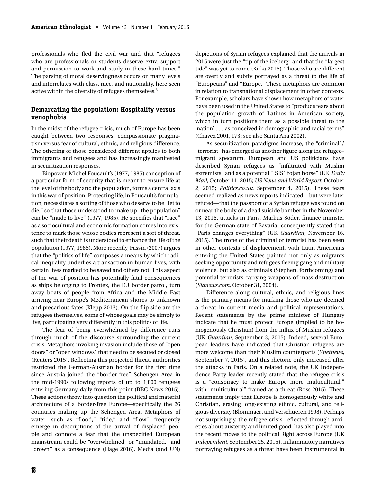professionals who fled the civil war and that "refugees who are professionals or students deserve extra support and permission to work and study in these hard times." The parsing of moral deservingness occurs on many levels and interrelates with class, race, and nationality, here seen active within the diversity of refugees themselves.6

#### **Demarcating the population: Hospitality versus xenophobia**

In the midst of the refugee crisis, much of Europe has been caught between two responses: compassionate pragmatism versus fear of cultural, ethnic, and religious difference. The othering of those considered different applies to both immigrants and refugees and has increasingly manifested in securitization responses.

Biopower, Michel Foucault's (1977, 1985) conception of a particular form of security that is meant to ensure life at the level of the body and the population, forms a central axis in this war of position. Protecting life, in Foucault's formulation, necessitates a sorting of those who deserve to be "let to die," so that those understood to make up "the population" can be "made to live" (1977, 1985). He specifies that "race" as a sociocultural and economic formation comes into existence to mark those whose bodies represent a sort of threat, such that their death is understood to enhance the life of the population (1977, 1985). More recently, Fassin (2007) argues that the "politics of life" composes a means by which radical inequality underlies a transaction in human lives, with certain lives marked to be saved and others not. This aspect of the war of position has potentially fatal consequences as ships belonging to Frontex, the EU border patrol, turn away boats of people from Africa and the Middle East arriving near Europe's Mediterranean shores to unknown and precarious fates (Klepp 2013). On the flip side are the refugees themselves, some of whose goals may be simply to live, participating very differently in this politics of life.

The fear of being overwhelmed by difference runs through much of the discourse surrounding the current crisis. Metaphors invoking invasion include those of "open doors" or "open windows" that need to be secured or closed (Reuters 2015). Reflecting this projected threat, authorities restricted the German-Austrian border for the first time since Austria joined the "border-free" Schengen Area in the mid-1990s following reports of up to 1,800 refugees entering Germany daily from this point (BBC News 2015). These actions throw into question the political and material architecture of a border-free Europe—specifically the 26 countries making up the Schengen Area. Metaphors of water—such as "flood," "tide," and "flow"—frequently emerge in descriptions of the arrival of displaced people and connote a fear that the unspecified European mainstream could be "overwhelmed" or "inundated," and "drown" as a consequence (Hage 2016). Media (and UN)

depictions of Syrian refugees explained that the arrivals in 2015 were just the "tip of the iceberg" and that the "largest tide" was yet to come (Kirka 2015). Those who are different are overtly and subtly portrayed as a threat to the life of "Europeans" and "Europe." These metaphors are common in relation to transnational displacement in other contexts. For example, scholars have shown how metaphors of water have been used in the United States to "produce fears about the population growth of Latinos in American society, which in turn positions them as a possible threat to the 'nation' . . . as conceived in demographic and racial terms" (Chavez 2001, 173; see also Santa Ana 2002).

As securitization paradigms increase, the "criminal"/ "terrorist" has emerged as another figure along the refugee– migrant spectrum. European and US politicians have described Syrian refugees as "infiltrated with Muslim extremists" and as a potential "ISIS Trojan horse" (UK *Daily Mail*, October 11, 2015; *US News and World Report*, October 2, 2015; *Politics.co.uk*, September 4, 2015). These fears seemed realized as news reports indicated—but were later refuted—that the passport of a Syrian refugee was found on or near the body of a dead suicide bomber in the November 13, 2015, attacks in Paris. Markus Söder, finance minister for the German state of Bavaria, consequently stated that "Paris changes everything" (UK *Guardian*, November 16, 2015). The trope of the criminal or terrorist has been seen in other contexts of displacement, with Latin Americans entering the United States painted not only as migrants seeking opportunity and refugees fleeing gang and military violence, but also as criminals (Stephen, forthcoming) and potential terrorists carrying weapons of mass destruction (*Sianews.com*, October 31, 2004).

Difference along cultural, ethnic, and religious lines is the primary means for marking those who are deemed a threat in current media and political representations. Recent statements by the prime minister of Hungary indicate that he must protect Europe (implied to be homogenously Christian) from the influx of Muslim refugees (UK *Guardian*, September 3, 2015). Indeed, several European leaders have indicated that Christian refugees are more welcome than their Muslim counterparts (*Ynetnews*, September 7, 2015), and this rhetoric only increased after the attacks in Paris. On a related note, the UK Independence Party leader recently stated that the refugee crisis is a "conspiracy to make Europe more multicultural," with "multicultural" framed as a threat (Ross 2015). These statements imply that Europe is homogenously white and Christian, erasing long-existing ethnic, cultural, and religious diversity (Blommaert and Verschueren 1998). Perhaps not surprisingly, the refugee crisis, reflected through anxieties about austerity and limited good, has also played into the recent moves to the political Right across Europe (UK *Independent*, September 25, 2015). Inflammatory narratives portraying refugees as a threat have been instrumental in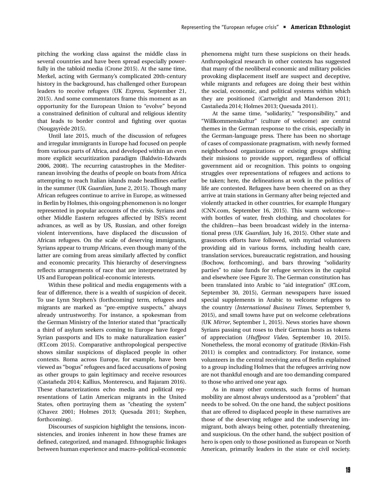pitching the working class against the middle class in several countries and have been spread especially powerfully in the tabloid media (Crone 2015). At the same time, Merkel, acting with Germany's complicated 20th-century history in the background, has challenged other European leaders to receive refugees (UK *Express*, September 21, 2015). And some commentators frame this moment as an opportunity for the European Union to "evolve" beyond a constrained definition of cultural and religious identity that leads to border control and fighting over quotas (Nougayrède 2015).

Until late 2015, much of the discussion of refugees and irregular immigrants in Europe had focused on people from various parts of Africa, and developed within an even more explicit securitization paradigm (Baldwin-Edwards 2006, 2008). The recurring catastrophes in the Mediterranean involving the deaths of people on boats from Africa attempting to reach Italian islands made headlines earlier in the summer (UK *Guardian*, June 2, 2015). Though many African refugees continue to arrive in Europe, as witnessed in Berlin by Holmes, this ongoing phenomenon is no longer represented in popular accounts of the crisis. Syrians and other Middle Eastern refugees affected by ISIS's recent advances, as well as by US, Russian, and other foreign violent interventions, have displaced the discussion of African refugees. On the scale of deserving immigrants, Syrians appear to trump Africans, even though many of the latter are coming from areas similarly affected by conflict and economic precarity. This hierarchy of deservingness reflects arrangements of race that are interpenetrated by US and European political-economic interests.

Within these political and media engagements with a fear of difference, there is a wealth of suspicion of deceit. To use Lynn Stephen's (forthcoming) term, refugees and migrants are marked as "pre-emptive suspects," always already untrustworthy. For instance, a spokesman from the German Ministry of the Interior stated that "practically a third of asylum seekers coming to Europe have forged Syrian passports and IDs to make naturalization easier" (RT.com 2015). Comparative anthropological perspective shows similar suspicions of displaced people in other contexts. Roma across Europe, for example, have been viewed as "bogus" refugees and faced accusations of posing as other groups to gain legitimacy and receive resources (Castañeda 2014; Kallius, Monterescu, and Rajaram 2016). These characterizations echo media and political representations of Latin American migrants in the United States, often portraying them as "cheating the system" (Chavez 2001; Holmes 2013; Quesada 2011; Stephen, forthcoming).

Discourses of suspicion highlight the tensions, inconsistencies, and ironies inherent in how these frames are defined, categorized, and managed. Ethnographic linkages between human experience and macro–political-economic phenomena might turn these suspicions on their heads. Anthropological research in other contexts has suggested that many of the neoliberal economic and military policies provoking displacement itself are suspect and deceptive, while migrants and refugees are doing their best within the social, economic, and political systems within which they are positioned (Cartwright and Manderson 2011; Castañeda 2014; Holmes 2013; Quesada 2011).

At the same time, "solidarity," "responsibility," and "Willkommenskultur" (culture of welcome) are central themes in the German response to the crisis, especially in the German-language press. There has been no shortage of cases of compassionate pragmatism, with newly formed neighborhood organizations or existing groups shifting their missions to provide support, regardless of official government aid or recognition. This points to ongoing struggles over representations of refugees and actions to be taken; here, the delineations at work in the politics of life are contested. Refugees have been cheered on as they arrive at train stations in Germany after being rejected and violently attacked in other countries, for example Hungary (CNN.com, September 16, 2015). This warm welcome with bottles of water, fresh clothing, and chocolates for the children—has been broadcast widely in the international press (UK *Guardian*, July 16, 2015). Other state and grassroots efforts have followed, with myriad volunteers providing aid in various forms, including health care, translation services, bureaucratic registration, and housing (Bochow, forthcoming), and bars throwing "solidarity parties" to raise funds for refugee services in the capital and elsewhere (see Figure 3). The German constitution has been translated into Arabic to "aid integration" (RT.com, September 30, 2015), German newspapers have issued special supplements in Arabic to welcome refugees to the country (*International Business Times*, September 9, 2015), and small towns have put on welcome celebrations (UK *Mirror*, September 1, 2015). News stories have shown Syrians passing out roses to their German hosts as tokens of appreciation (*Huffpost Video*, September 10, 2015). Nonetheless, the moral economy of gratitude (Rivkin-Fish 2011) is complex and contradictory. For instance, some volunteers in the central receiving area of Berlin explained to a group including Holmes that the refugees arriving now are not thankful enough and are too demanding compared to those who arrived one year ago.

As in many other contexts, such forms of human mobility are almost always understood as a "problem" that needs to be solved. On the one hand, the subject positions that are offered to displaced people in these narratives are those of the deserving refugee and the undeserving immigrant, both always being other, potentially threatening, and suspicious. On the other hand, the subject position of hero is open only to those positioned as European or North American, primarily leaders in the state or civil society.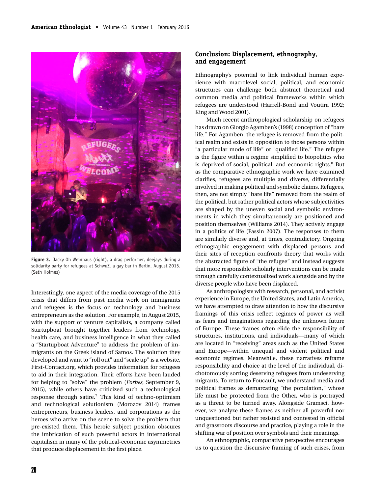

**Figure 3.** Jacky Oh Weinhaus (right), a drag performer, deejays during a solidarity party for refugees at SchwuZ, a gay bar in Berlin, August 2015. (Seth Holmes)

Interestingly, one aspect of the media coverage of the 2015 crisis that differs from past media work on immigrants and refugees is the focus on technology and business entrepreneurs as the solution. For example, in August 2015, with the support of venture capitalists, a company called Startupboat brought together leaders from technology, health care, and business intelligence in what they called a "Startupboat Adventure" to address the problem of immigrants on the Greek island of Samos. The solution they developed and want to "roll out" and "scale up" is a website, First-Contact.org, which provides information for refugees to aid in their integration. Their efforts have been lauded for helping to "solve" the problem (*Forbes*, September 9, 2015), while others have criticized such a technological response through satire.<sup>7</sup> This kind of techno-optimism and technological solutionism (Morozov 2014) frames entrepreneurs, business leaders, and corporations as the heroes who arrive on the scene to solve the problem that pre-existed them. This heroic subject position obscures the imbrication of such powerful actors in international capitalism in many of the political-economic asymmetries that produce displacement in the first place.

#### **Conclusion: Displacement, ethnography, and engagement**

Ethnography's potential to link individual human experience with macrolevel social, political, and economic structures can challenge both abstract theoretical and common media and political frameworks within which refugees are understood (Harrell-Bond and Voutira 1992; King and Wood 2001).

Much recent anthropological scholarship on refugees has drawn on Giorgio Agamben's (1998) conception of "bare life." For Agamben, the refugee is removed from the political realm and exists in opposition to those persons within "a particular mode of life" or "qualified life." The refugee is the figure within a regime simplified to biopolitics who is deprived of social, political, and economic rights. $8$  But as the comparative ethnographic work we have examined clarifies, refugees are multiple and diverse, differentially involved in making political and symbolic claims. Refugees, then, are not simply "bare life" removed from the realm of the political, but rather political actors whose subjectivities are shaped by the uneven social and symbolic environments in which they simultaneously are positioned and position themselves (Williams 2014). They actively engage in a politics of life (Fassin 2007). The responses to them are similarly diverse and, at times, contradictory. Ongoing ethnographic engagement with displaced persons and their sites of reception confronts theory that works with the abstracted figure of "the refugee" and instead suggests that more responsible scholarly interventions can be made through carefully contextualized work alongside and by the diverse people who have been displaced.

As anthropologists with research, personal, and activist experience in Europe, the United States, and Latin America, we have attempted to draw attention to how the discursive framings of this crisis reflect regimes of power as well as fears and imaginations regarding the unknown future of Europe. These frames often elide the responsibility of structures, institutions, and individuals—many of which are located in "receiving" areas such as the United States and Europe—within unequal and violent political and economic regimes. Meanwhile, these narratives reframe responsibility and choice at the level of the individual, dichotomously sorting deserving refugees from undeserving migrants. To return to Foucault, we understand media and political frames as demarcating "the population," whose life must be protected from the Other, who is portrayed as a threat to be turned away. Alongside Gramsci, however, we analyze these frames as neither all-powerful nor unquestioned but rather resisted and contested in official and grassroots discourse and practice, playing a role in the shifting war of position over symbols and their meanings.

An ethnographic, comparative perspective encourages us to question the discursive framing of such crises, from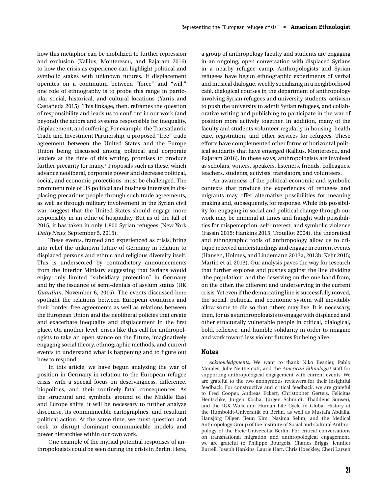how this metaphor can be mobilized to further repression and exclusion (Kallius, Monterescu, and Rajaram 2016) to how the crisis as experience can highlight political and symbolic stakes with unknown futures. If displacement operates on a continuum between "force" and "will," one role of ethnography is to probe this range in particular social, historical, and cultural locations (Yarris and Castañeda 2015). This linkage, then, reframes the question of responsibility and leads us to confront in our work (and beyond) the actors and systems responsible for inequality, displacement, and suffering. For example, the Transatlantic Trade and Investment Partnership, a proposed "free" trade agreement between the United States and the Europe Union being discussed among political and corporate leaders at the time of this writing, promises to produce further precarity for many.<sup>9</sup> Proposals such as these, which advance neoliberal, corporate power and decrease political, social, and economic protections, must be challenged. The prominent role of US political and business interests in displacing precarious people through such trade agreements, as well as through military involvement in the Syrian civil war, suggest that the United States should engage more responsibly in an ethic of hospitality. But as of the fall of 2015, it has taken in only 1,800 Syrian refugees (New York *Daily News*, September 5, 2015).

These events, framed and experienced as crisis, bring into relief the unknown future of Germany in relation to displaced persons and ethnic and religious diversity itself. This is underscored by contradictory announcements from the Interior Ministry suggesting that Syrians would enjoy only limited "subsidiary protection" in Germany and by the issuance of semi-denials of asylum status (UK *Guardian*, November 6, 2015). The events discussed here spotlight the relations between European countries and their border-free agreements as well as relations between the European Union and the neoliberal policies that create and exacerbate inequality and displacement in the first place. On another level, crises like this call for anthropologists to take an open stance on the future, imaginatively engaging social theory, ethnographic methods, and current events to understand what is happening and to figure out how to respond.

In this article, we have begun analyzing the war of position in Germany in relation to the European refugee crisis, with a special focus on deservingness, difference, biopolitics, and their routinely fatal consequences. As the structural and symbolic ground of the Middle East and Europe shifts, it will be necessary to further analyze discourse, its communicable cartographies, and resultant political action. At the same time, we must question and seek to disrupt dominant communicable models and power hierarchies within our own work.

One example of the myriad potential responses of anthropologists could be seen during the crisis in Berlin. Here, a group of anthropology faculty and students are engaging in an ongoing, open conversation with displaced Syrians in a nearby refugee camp. Anthropologists and Syrian refugees have begun ethnographic experiments of verbal and musical dialogue, weekly socializing in a neighborhood cafe, dialogical courses in the department of anthropology ´ involving Syrian refugees and university students, activism to push the university to admit Syrian refugees, and collaborative writing and publishing to participate in the war of position more actively together. In addition, many of the faculty and students volunteer regularly in housing, health care, registration, and other services for refugees. These efforts have complemented other forms of horizontal political solidarity that have emerged (Kallius, Monterescu, and Rajaram 2016). In these ways, anthropologists are involved as scholars, writers, speakers, listeners, friends, colleagues, teachers, students, activists, translators, and volunteers.

An awareness of the political-economic and symbolic contexts that produce the experiences of refugees and migrants may offer alternative possibilities for meaning making and, subsequently, for response. While this possibility for engaging in social and political change through our work may be minimal at times and fraught with possibilities for misperception, self-interest, and symbolic violence (Fassin 2015; Hankins 2015; Trouillot 2004), the theoretical and ethnographic tools of anthropology allow us to critique received understandings and engage in current events (Hansen, Holmes, and Lindemann 2013a, 2013b; Kehr 2015; Martin et al. 2013). Our analysis paves the way for research that further explores and pushes against the line dividing "the population" and the deserving on the one hand from, on the other, the different and underserving in the current crisis. Yet even if the demarcating line is successfully moved, the social, political, and economic system will inevitably allow some to die so that others may live. It is necessary, then, for us as anthropologists to engage with displaced and other structurally vulnerable people in critical, dialogical, bold, reflexive, and humble solidarity in order to imagine and work toward less violent futures for being alive.

#### **Notes**

*Acknowledgments*. We want to thank Niko Besnier, Pablo Morales, Julie Neithercutt, and the *American Ethnologist* staff for supporting anthropological engagement with current events. We are grateful to the two anonymous reviewers for their insightful feedback. For constructive and critical feedback, we are grateful to Fred Cooper, Andreas Eckert, Christopher Gerteis, Felicitas Hentschke, Jürgen Kocha, Jürgen Schmidt, Thaddeus Sunseri, and the IGK Work and Human Life Cycle in Global History at the Humboldt-Universität zu Berlin, as well as Mustafa Abdalla, Hansjörg Dilger, Jieun Kim, Nasima Selim, and the Medical Anthropology Group of the Institute of Social and Cultural Anthropology of the Freie Universität Berlin. For critical conversations on transnational migration and anthropological engagement, we are grateful to Philippe Bourgois, Charles Briggs, Jennifer Burrell, Joseph Hankins, Laurie Hart, Chris Hoeckley, Cheri Larsen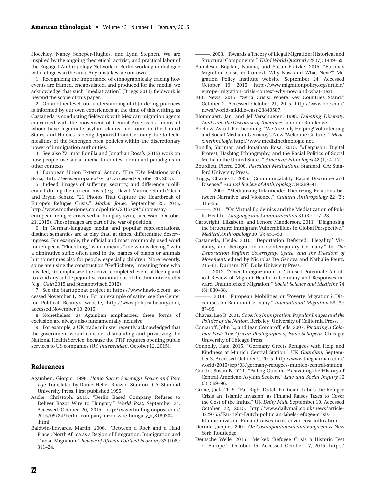Hoeckley, Nancy Scheper-Hughes, and Lynn Stephen. We are inspired by the ongoing theoretical, activist, and practical labor of the Engaged Anthropology Network in Berlin working in dialogue with refugees in the area. Any mistakes are our own.

1. Recognizing the importance of ethnographically tracing how events are framed, encapsulated, and produced for the media, we acknowledge that such "mediatization" (Briggs 2011) fieldwork is beyond the scope of this paper.

2. On another level, our understanding of (b)ordering practices is informed by our own experiences at the time of this writing, as Castañeda is conducting fieldwork with Mexican migration agents concerned with the movement of Central Americans—many of whom have legitimate asylum claims—en route to the United States, and Holmes is being deported from Germany due to technicalities of the Schengen Area policies within the discretionary power of immigration authorities.

3. See also Yarimar Bonilla and Jonathan Rosa's (2015) work on how people use social media to contest dominant paradigms in other contexts.

4. European Union External Action, "The EU's Relations with Syria," http://eeas.europa.eu/syria/, accessed October 20, 2015.

5. Indeed, images of suffering, security, and difference proliferated during the current crisis (e.g., David Maurice Smith/Oculi and Bryan Schatz, "21 Photos That Capture the Heartbreak of Europe's Refugee Crisis," *Mother Jones*, September 25, 2015, http://www.motherjones.com/politics/2015/09/photoessayeuropean-refugee-crisis-serbia-hungary-syria, accessed October 21, 2015). These images are part of the war of position.

6. In German-language media and popular representations, distinct semantics are at play that, at times, differentiate deservingness. For example, the official and most commonly used word for refugee is "Flüchtling," which means "one who is fleeing," with a diminutive suffix often used in the names of plants or animals but sometimes also for people, especially children. More recently, some are using the construction "Geflüchtete," meaning "one who has fled," to emphasize the active, completed event of fleeing and to avoid any subtle pejorative connotations of the diminutive suffix (e.g., *Gala* 2015 and Stefanowitsch 2012).

7. See the Startupboat project at https://www.hawk-e.com, accessed November 1, 2015. For an example of satire, see the Center for Political Beauty's website, http://www.politicalbeauty.com, accessed November 10, 2015.

8. Nonetheless, as Agamben emphasizes, these forms of exclusion are always also fundamentally inclusive.

9. For example, a UK trade minister recently acknowledged that the government would consider dismantling and privatizing the National Health Service, because the TTIP requires opening public services to US companies (UK *Independent*, October 12, 2015).

#### **References**

- Agamben, Giorgio. 1998. *Homo Sacer: Sovereign Power and Bare Life*. Translated by Daniel Heller-Roazen. Stanford, CA: Stanford University Press. First published 1995.
- Asche, Christoph. 2015. "Berlin Based Company Refuses to Deliver Razor Wire to Hungary." *World Post*, September 24. Accessed October 20, 2015. http://www.huffingtonpost.com/ 2015/09/24/berlin-company-razor-wire-hungary\_n\_8189304 .html.
- Baldwin-Edwards, Martin. 2006. "'Between a Rock and a Hard Place': North Africa as a Region of Emigration, Immigration and Transit Migration." *Review of African Political Economy* 33 (108): 311–24.

. 2008. "Towards a Theory of Illegal Migration: Historical and Structural Components." *Third World Quarterly* 29 (7): 1449–59.

- Banulescu-Bogdan, Natalia, and Susan Fratzke. 2015. "Europe's Migration Crisis in Context: Why Now and What Next?" Migration Policy Institute website, September 24. Accessed October 19, 2015. http://www.migrationpolicy.org/article/ europe-migration-crisis-context-why-now-and-what-next.
- BBC News. 2015. "Syria Crisis: Where Key Countries Stand." October 2. Accessed October 21, 2015. http://www.bbc.com/ news/world-middle-east-23849587.
- Blommaert, Jan, and Jef Verschueren. 1998. *Debating Diversity: Analysing the Discourse of Tolerance*. London: Routledge.
- Bochow, Astrid. Forthcoming. "We Are Only Helping! Volunteering and Social Media in Germany's New 'Welcome Culture.'" *Medizinethnologie*, http://www.medizinethnologie.net.
- Bonilla, Yarimar, and Jonathan Rosa. 2015. "#Ferguson: Digital Protest, Hashtag Ethnography, and the Racial Politics of Social Media in the United States." *American Ethnologist* 42 (1): 4–17.
- Bourdieu, Pierre. 2000. *Pascalian Meditations*. Stanford, CA: Stanford University Press.
- Briggs, Charles L. 2005. "Communicability, Racial Discourse and Disease." *Annual Review of Anthropology* 34:269–91.
- -. 2007. "Mediatizing Infanticide: Theorizing Relations between Narrative and Violence." *Cultural Anthropology* 22 (3): 315–56.
- 2011. "On Virtual Epidemics and the Mediatization of Public Health." *Language and Communication* 31 (3): 217–28.
- Cartwright, Elizabeth, and Lenore Manderson. 2011. "Diagnosing the Structure: Immigrant Vulnerabilities in Global Perspective." *Medical Anthropology* 30 (5): 451–53.
- Castañeda, Heide. 2010. "Deportation Deferred: 'Illegality,' Visibility, and Recognition in Contemporary Germany." In *The Deportation Regime: Sovereignty, Space, and the Freedom of Movement*, edited by Nicholas De Genova and Nathalie Peutz, 245–61. Durham, NC: Duke University Press.
- ———. 2012. "'Over-foreignization' or 'Unused Potential'? A Critical Review of Migrant Health in Germany and Responses toward Unauthorized Migration." *Social Science and Medicine* 74 (6): 830–38.
- ———. 2014. "European Mobilities or 'Poverty Migration'? Discourses on Roma in Germany." *International Migration* 53 (3): 87–99.
- Chavez, Leo R. 2001. *Covering Immigration: Popular Images and the Politics of the Nation*. Berkeley: University of California Press.
- Comaroff, John L., and Jean Comaroff, eds. 2007. *Picturing a Colonial Past: The African Photographs of Isaac Schapera*. Chicago: University of Chicago Press.
- Connolly, Kate. 2015. "Germany Greets Refugees with Help and Kindness at Munich Central Station." UK *Guardian*, September 3. Accessed October 9, 2015. http://www.theguardian.com/ world/2015/sep/03/germany-refugees-munich-central-station.
- Coutin, Susan B. 2011. "Falling Outside: Excavating the History of Central American Asylum Seekers." *Law and Social Inquiry* 36 (3): 569–96.
- Crone, Jack. 2015. "Far-Right Dutch Politician Labels the Refugee Crisis an 'Islamic Invasion' as Finland Raises Taxes to Cover the Cost of the Influx." UK *Daily Mail*, September 10. Accessed October 22, 2015. http://www.dailymail.co.uk/news/article-3229755/Far-right-Dutch-politician-labels-refugee-crisis-Islamic-invasion-Finland-raises-taxes-cover-cost-influx.html.
- Derrida, Jacques. 2001. *On Cosmopolitanism and Forgiveness*. New York: Routledge.
- Deutsche Welle. 2015. "Merkel: 'Refugee Crisis a Historic Test of Europe.'" October 15. Accessed October 17, 2015. http://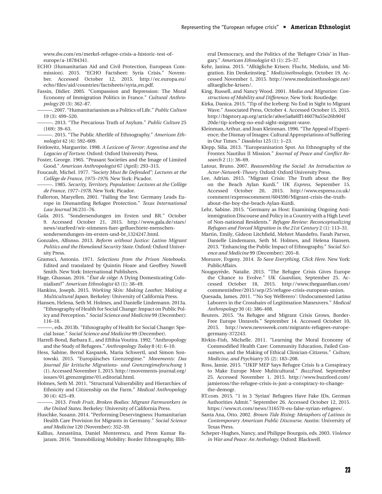www.dw.com/en/merkel-refugee-crisis-a-historic-test-ofeurope/a-18784341.

- ECHO (Humanitarian Aid and Civil Protection, European Commission). 2015. "ECHO Factsheet: Syria Crisis." November. Accessed October 12, 2015. http://ec.europa.eu/ echo/files/aid/countries/factsheets/syria\_en.pdf.
- Fassin, Didier. 2005. "Compassion and Repression: The Moral Economy of Immigration Politics in France." *Cultural Anthropology* 20 (3): 362–87.
- ———. 2007. "Humanitarianism as a Politics of Life." *Public Culture* 19 (3): 499–520.
- ———. 2013. "The Precarious Truth of Asylum." *Public Culture* 25 (169): 39–63.
- -. 2015. "The Public Afterlife of Ethnography." American Eth*nologist* 42 (4): 592–609.
- Feitlowitz, Marguerite. 1998. *A Lexicon of Terror: Argentina and the Legacies of Torture*. Oxford: Oxford University Press.
- Foster, George. 1965. "Peasant Societies and the Image of Limited Good." *American Anthropologist* 67 (April): 293–315.
- Foucault, Michel. 1977. *"Society Must Be Defended": Lectures at the College de France, 1975–1976 `* . New York: Picador.
- ———. 1985. *Security, Territory, Population: Lectures at the College ` de France, 1977–1978*. New York: Picador.
- Fullerton, Maryellen. 2001. "Failing the Test: Germany Leads Europe in Dismantling Refugee Protection." *Texas International Law Journal* 36:231–76.
- *Gala*. 2015. "Sondersendungen im Ersten und BR." October 9. Accessed October 21, 2015. http://www.gala.de/stars/ news/starfeed/wir-stimmen-fuer-gefluechtete-menschensondersendungen-im-ersten-und-br 1324247.html.
- Gonzales, Alfonso. 2013. *Reform without Justice: Latino Migrant Politics and the Homeland Security State*. Oxford: Oxford University Press.
- Gramsci, Antonio. 1971. *Selections from the Prison Notebooks*. Edited and translated by Quintin Hoare and Geoffrey Nowell Smith. New York: International Publishers.
- Hage, Ghassan. 2016. "État de siège: A Dying Domesticating Colonialism?" *American Ethnologist* 43 (1): 38–49.
- Hankins, Joseph. 2015. *Working Skin: Making Leather, Making a Multicultural Japan*. Berkeley: University of California Press.
- Hansen, Helena, Seth M. Holmes, and Danielle Lindemann. 2013a. "Ethnography of Health for Social Change: Impact on Public Policy and Perception." *Social Science and Medicine* 99 (December): 116–18.
- ———, eds. 2013b. "Ethnography of Health for Social Change: Special Issue." *Social Science and Medicine* 99 (December).
- Harrell-Bond, Barbara E., and Eftihia Voutira. 1992. "Anthropology and the Study of Refugees." *Anthropology Today* 8 (4): 6–10.
- Hess, Sabine, Bernd Kasparek, Maria Schwertl, and Simon Sontowski. 2015. "Europäisches Grenzregime." Movements: Das *Journal für kritische Migrations- und Grenzregimeforschung* 1 (1). Accessed November 1, 2015. http://movements-journal.org/ issues/01.grenzregime/01.editorial.html.
- Holmes, Seth M. 2011. "Structural Vulnerability and Hierarchies of Ethnicity and Citizenship on the Farm." *Medical Anthropology* 30 (4): 425–49.

———. 2013. *Fresh Fruit, Broken Bodies: Migrant Farmworkers in the United States*. Berkeley: University of California Press.

- Huschke, Susann. 2014. "Performing Deservingness: Humanitarian Health Care Provision for Migrants in Germany." *Social Science and Medicine* 120 (November): 352–59.
- Kallius, Annastiina, Daniel Monterescu, and Prem Kumar Rajaram. 2016. "Immobilizing Mobility: Border Ethnography, Illib-

eral Democracy, and the Politics of the 'Refugee Crisis' in Hungary." *American Ethnologist* 43 (1): 25–37.

- Kehr, Janina. 2015. "Alltägliche Krisen: Flucht, Medizin, und Migration. Ein Denkeinstieg." *Medizinethnologie*, October 19. Accessed November 1, 2015. http://www.medizinethnologie.net/ alltaegliche-krisen/.
- King, Russell, and Nancy Wood. 2001. *Media and Migration: Constructions of Mobility and Difference*. New York: Routledge.
- Kirka, Danica. 2015. "Tip of the Iceberg: No End in Sight to Migrant Wave." Associated Press, October 4. Accessed October 15, 2015. http://bigstory.ap.org/article/a0ee5a8a6ff146079a55e26b904f 20de/tip-iceberg-no-end-sight-migrant-wave.
- Kleinman, Arthur, and Joan Kleinman. 1996. "The Appeal of Experience; the Dismay of Images: Cultural Appropriations of Suffering in Our Times." *Daedelus* 125 (1): 1–23.
- Klepp, Silia. 2013. "Europeanisation Spot. An Ethnography of the Frontex Nautilus II Mission." *Journal of Peace and Conflict Research* 2 (1): 36–69.
- Latour, Bruno. 2007. *Reassembling the Social: An Introduction to Actor-Network-Theory*. Oxford: Oxford University Press.
- Lee, Adrian. 2015. "Migrant Crisis: The Truth about the Boy on the Beach Aylan Kurdi." UK *Express*, September 15. Accessed October 20, 2015. http://www.express.co.uk/ comment/expresscomment/604590/Migrant-crisis-the-truthabout-the-boy-the-beach-Aylan-Kurdi.
- Lehr, Sabine. 2015. "Germany as Host: Examining Ongoing Antiimmigration Discourse and Policy in a Country with a High Level of Non-national Residents." *Refugee Review: Reconceptualizing Refugees and Forced Migration in the 21st Century* 2 (1): 113–31.
- Martin, Emily, Gideon Litchfield, Mehret Mandefro, Farah Parvez, Danielle Lindemann, Seth M. Holmes, and Helena Hansen. 2013. "Enhancing the Public Impact of Ethnography." *Social Science and Medicine* 99 (December): 205–8.
- Morozov, Evgeny. 2014. *To Save Everything, Click Here*. New York: PublicAffairs.
- Nougayrede, Natalie. 2015. "The Refugee Crisis Gives Europe ` the Chance to Evolve." UK *Guardian*, September 25. Accessed October 18, 2015. http://www.theguardian.com/ commentisfree/2015/sep/25/refugee-crisis-european-union.
- Quesada, James. 2011. "'No Soy Welferero': Undocumented Latino Laborers in the Crosshairs of Legitimation Maneuvers." *Medical Anthropology* 30 (4): 386–408.
- Reuters. 2015. "As Refugee and Migrant Crisis Grows, Border-Free Europe Unravels." September 14. Accessed October 10, 2015. http://www.newsweek.com/migrants-refugees-europegermany-372243.
- Rivkin-Fish, Michelle. 2011. "Learning the Moral Economy of Commodified Health Care: Community Education, Failed Consumers, and the Making of Ethical Clinician-Citizens." *Culture, Medicine, and Psychiatry* 35 (2): 183–208.
- Ross, Jamie. 2015. "UKIP MEP Says Refugee Crisis Is a Conspiracy to Make Europe More Multicultural." *BuzzFeed*, September 25. Accessed November 1, 2015. http://www.buzzfeed.com/ jamieross/the-refugee-crisis-is-just-a-conspiracy-to-changethe-demogr.
- RT.com. 2015. "1 in 3 'Syrian' Refugees Have Fake IDs, German Authorities Admit." September 26. Accessed October 12, 2015. https://www.rt.com/news/316570-eu-false-syrian-refugees/.
- Santa Ana, Otto. 2002. *Brown Tide Rising: Metaphors of Latinos in Contemporary American Public Discourse*. Austin: University of Texas Press.
- Scheper-Hughes, Nancy, and Philippe Bourgois, eds. 2003. *Violence in War and Peace: An Anthology*. Oxford: Blackwell.